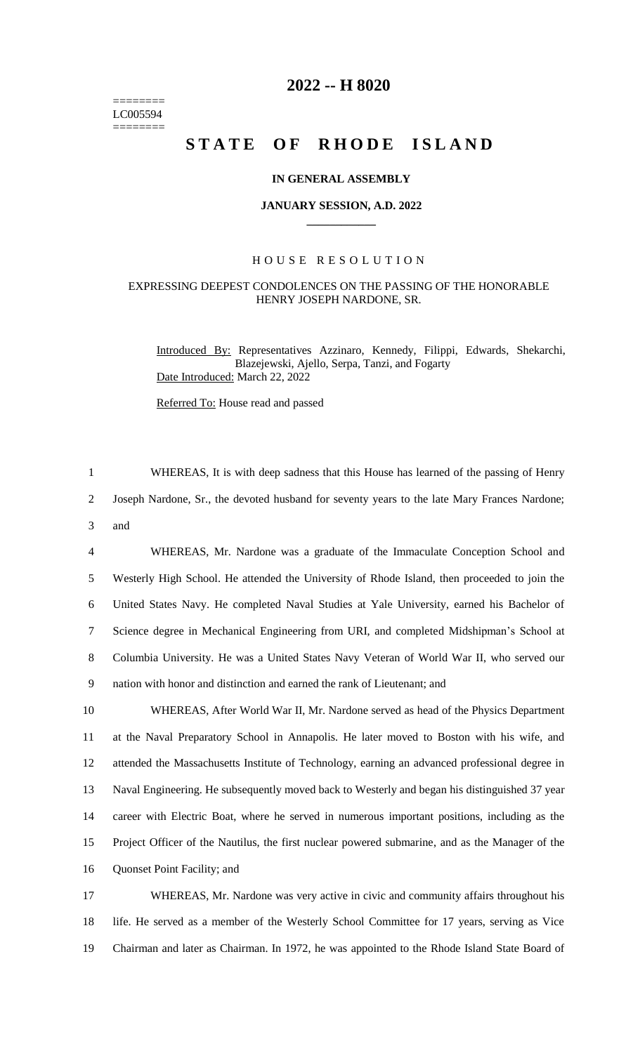======== LC005594 ========

# **2022 -- H 8020**

# **STATE OF RHODE ISLAND**

# **IN GENERAL ASSEMBLY**

#### **JANUARY SESSION, A.D. 2022 \_\_\_\_\_\_\_\_\_\_\_\_**

# H O U S E R E S O L U T I O N

## EXPRESSING DEEPEST CONDOLENCES ON THE PASSING OF THE HONORABLE HENRY JOSEPH NARDONE, SR.

Introduced By: Representatives Azzinaro, Kennedy, Filippi, Edwards, Shekarchi, Blazejewski, Ajello, Serpa, Tanzi, and Fogarty Date Introduced: March 22, 2022

Referred To: House read and passed

1 WHEREAS, It is with deep sadness that this House has learned of the passing of Henry 2 Joseph Nardone, Sr., the devoted husband for seventy years to the late Mary Frances Nardone; 3 and

 WHEREAS, Mr. Nardone was a graduate of the Immaculate Conception School and Westerly High School. He attended the University of Rhode Island, then proceeded to join the United States Navy. He completed Naval Studies at Yale University, earned his Bachelor of Science degree in Mechanical Engineering from URI, and completed Midshipman's School at Columbia University. He was a United States Navy Veteran of World War II, who served our nation with honor and distinction and earned the rank of Lieutenant; and

 WHEREAS, After World War II, Mr. Nardone served as head of the Physics Department at the Naval Preparatory School in Annapolis. He later moved to Boston with his wife, and attended the Massachusetts Institute of Technology, earning an advanced professional degree in Naval Engineering. He subsequently moved back to Westerly and began his distinguished 37 year career with Electric Boat, where he served in numerous important positions, including as the Project Officer of the Nautilus, the first nuclear powered submarine, and as the Manager of the Quonset Point Facility; and

17 WHEREAS, Mr. Nardone was very active in civic and community affairs throughout his 18 life. He served as a member of the Westerly School Committee for 17 years, serving as Vice 19 Chairman and later as Chairman. In 1972, he was appointed to the Rhode Island State Board of